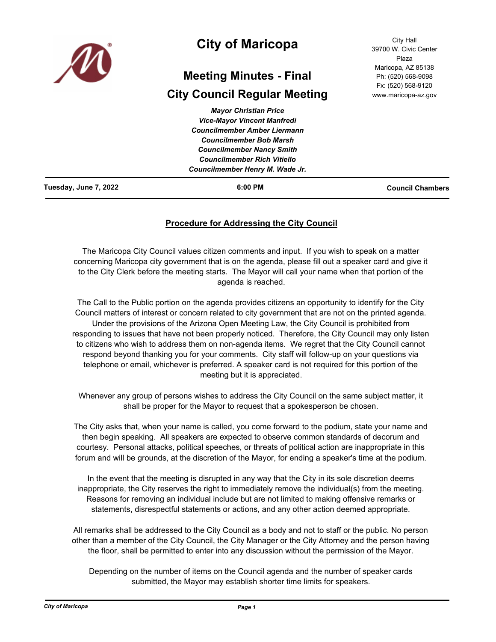

# **City of Maricopa**

# **Meeting Minutes - Final**

# **City Council Regular Meeting**

| <b>Mayor Christian Price</b>        |  |
|-------------------------------------|--|
| <b>Vice-Mayor Vincent Manfredi</b>  |  |
| <b>Councilmember Amber Liermann</b> |  |
| <b>Councilmember Bob Marsh</b>      |  |
| <b>Councilmember Nancy Smith</b>    |  |
| <b>Councilmember Rich Vitiello</b>  |  |
| Councilmember Henry M. Wade Jr.     |  |

City Hall 39700 W. Civic Center Plaza Maricopa, AZ 85138 Ph: (520) 568-9098 Fx: (520) 568-9120 www.maricopa-az.gov

**Tuesday, June 7, 2022 6:00 PM Council Chambers**

# **Procedure for Addressing the City Council**

The Maricopa City Council values citizen comments and input. If you wish to speak on a matter concerning Maricopa city government that is on the agenda, please fill out a speaker card and give it to the City Clerk before the meeting starts. The Mayor will call your name when that portion of the agenda is reached.

The Call to the Public portion on the agenda provides citizens an opportunity to identify for the City Council matters of interest or concern related to city government that are not on the printed agenda. Under the provisions of the Arizona Open Meeting Law, the City Council is prohibited from responding to issues that have not been properly noticed. Therefore, the City Council may only listen to citizens who wish to address them on non-agenda items. We regret that the City Council cannot respond beyond thanking you for your comments. City staff will follow-up on your questions via telephone or email, whichever is preferred. A speaker card is not required for this portion of the meeting but it is appreciated.

Whenever any group of persons wishes to address the City Council on the same subject matter, it shall be proper for the Mayor to request that a spokesperson be chosen.

The City asks that, when your name is called, you come forward to the podium, state your name and then begin speaking. All speakers are expected to observe common standards of decorum and courtesy. Personal attacks, political speeches, or threats of political action are inappropriate in this forum and will be grounds, at the discretion of the Mayor, for ending a speaker's time at the podium.

In the event that the meeting is disrupted in any way that the City in its sole discretion deems inappropriate, the City reserves the right to immediately remove the individual(s) from the meeting. Reasons for removing an individual include but are not limited to making offensive remarks or statements, disrespectful statements or actions, and any other action deemed appropriate.

All remarks shall be addressed to the City Council as a body and not to staff or the public. No person other than a member of the City Council, the City Manager or the City Attorney and the person having the floor, shall be permitted to enter into any discussion without the permission of the Mayor.

Depending on the number of items on the Council agenda and the number of speaker cards submitted, the Mayor may establish shorter time limits for speakers.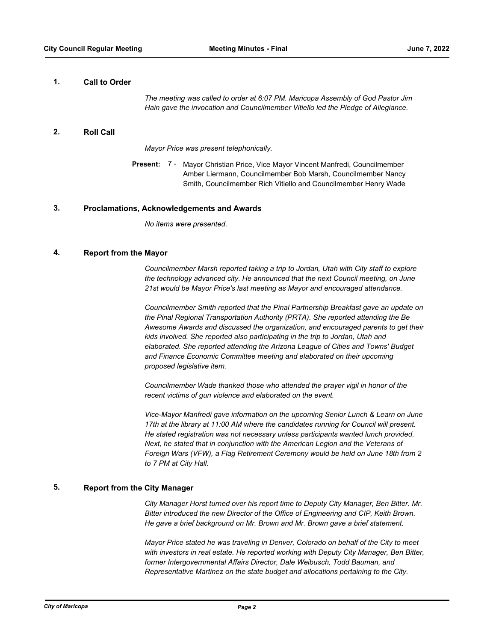## **1. Call to Order**

*The meeting was called to order at 6:07 PM. Maricopa Assembly of God Pastor Jim Hain gave the invocation and Councilmember Vitiello led the Pledge of Allegiance.*

# **2. Roll Call**

*Mayor Price was present telephonically.*

Present: 7 - Mayor Christian Price, Vice Mayor Vincent Manfredi, Councilmember Amber Liermann, Councilmember Bob Marsh, Councilmember Nancy Smith, Councilmember Rich Vitiello and Councilmember Henry Wade

## **3. Proclamations, Acknowledgements and Awards**

*No items were presented.*

## **4. Report from the Mayor**

*Councilmember Marsh reported taking a trip to Jordan, Utah with City staff to explore the technology advanced city. He announced that the next Council meeting, on June 21st would be Mayor Price's last meeting as Mayor and encouraged attendance.* 

*Councilmember Smith reported that the Pinal Partnership Breakfast gave an update on the Pinal Regional Transportation Authority (PRTA). She reported attending the Be Awesome Awards and discussed the organization, and encouraged parents to get their kids involved. She reported also participating in the trip to Jordan, Utah and elaborated. She reported attending the Arizona League of Cities and Towns' Budget and Finance Economic Committee meeting and elaborated on their upcoming proposed legislative item.*

*Councilmember Wade thanked those who attended the prayer vigil in honor of the recent victims of gun violence and elaborated on the event.* 

*Vice-Mayor Manfredi gave information on the upcoming Senior Lunch & Learn on June 17th at the library at 11:00 AM where the candidates running for Council will present. He stated registration was not necessary unless participants wanted lunch provided. Next, he stated that in conjunction with the American Legion and the Veterans of Foreign Wars (VFW), a Flag Retirement Ceremony would be held on June 18th from 2 to 7 PM at City Hall.*

# **5. Report from the City Manager**

*City Manager Horst turned over his report time to Deputy City Manager, Ben Bitter. Mr. Bitter introduced the new Director of the Office of Engineering and CIP, Keith Brown. He gave a brief background on Mr. Brown and Mr. Brown gave a brief statement.* 

*Mayor Price stated he was traveling in Denver, Colorado on behalf of the City to meet*  with investors in real estate. He reported working with Deputy City Manager, Ben Bitter, *former Intergovernmental Affairs Director, Dale Weibusch, Todd Bauman, and Representative Martinez on the state budget and allocations pertaining to the City.*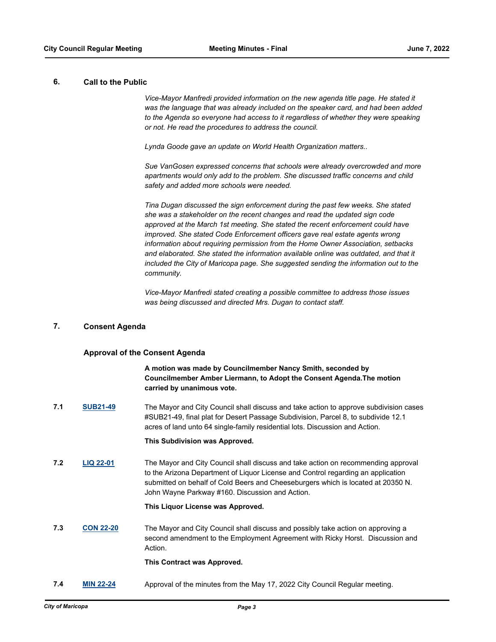# **6. Call to the Public**

*Vice-Mayor Manfredi provided information on the new agenda title page. He stated it was the language that was already included on the speaker card, and had been added to the Agenda so everyone had access to it regardless of whether they were speaking or not. He read the procedures to address the council.* 

*Lynda Goode gave an update on World Health Organization matters..* 

*Sue VanGosen expressed concerns that schools were already overcrowded and more apartments would only add to the problem. She discussed traffic concerns and child safety and added more schools were needed.*

*Tina Dugan discussed the sign enforcement during the past few weeks. She stated she was a stakeholder on the recent changes and read the updated sign code approved at the March 1st meeting. She stated the recent enforcement could have improved. She stated Code Enforcement officers gave real estate agents wrong information about requiring permission from the Home Owner Association, setbacks and elaborated. She stated the information available online was outdated, and that it included the City of Maricopa page. She suggested sending the information out to the community.* 

*Vice-Mayor Manfredi stated creating a possible committee to address those issues was being discussed and directed Mrs. Dugan to contact staff.*

# **7. Consent Agenda**

## **Approval of the Consent Agenda**

**A motion was made by Councilmember Nancy Smith, seconded by Councilmember Amber Liermann, to Adopt the Consent Agenda.The motion carried by unanimous vote.**

**7.1 [SUB21-49](http://maricopa.legistar.com/gateway.aspx?m=l&id=/matter.aspx?key=11244)** The Mayor and City Council shall discuss and take action to approve subdivision cases #SUB21-49, final plat for Desert Passage Subdivision, Parcel 8, to subdivide 12.1 acres of land unto 64 single-family residential lots. Discussion and Action.

#### **This Subdivision was Approved.**

**7.2 [LIQ 22-01](http://maricopa.legistar.com/gateway.aspx?m=l&id=/matter.aspx?key=11269)** The Mayor and City Council shall discuss and take action on recommending approval to the Arizona Department of Liquor License and Control regarding an application submitted on behalf of Cold Beers and Cheeseburgers which is located at 20350 N. John Wayne Parkway #160. Discussion and Action.

#### **This Liquor License was Approved.**

**7.3 [CON 22-20](http://maricopa.legistar.com/gateway.aspx?m=l&id=/matter.aspx?key=11272)** The Mayor and City Council shall discuss and possibly take action on approving a second amendment to the Employment Agreement with Ricky Horst. Discussion and Action.

#### **This Contract was Approved.**

**7.4 [MIN 22-24](http://maricopa.legistar.com/gateway.aspx?m=l&id=/matter.aspx?key=11289)** Approval of the minutes from the May 17, 2022 City Council Regular meeting.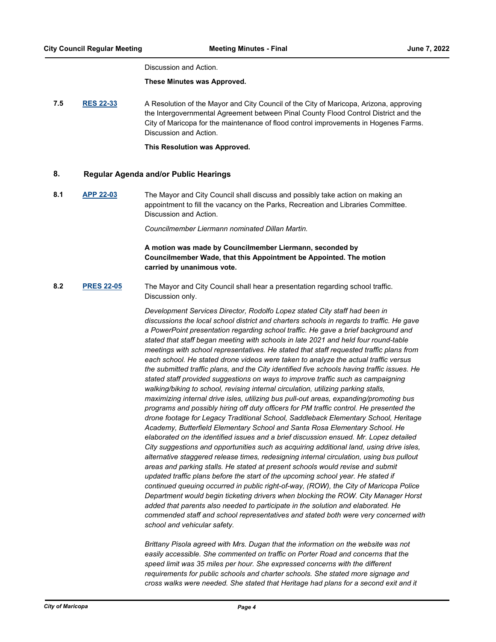#### Discussion and Action.

#### **These Minutes was Approved.**

**7.5 [RES 22-33](http://maricopa.legistar.com/gateway.aspx?m=l&id=/matter.aspx?key=11282)** A Resolution of the Mayor and City Council of the City of Maricopa, Arizona, approving the Intergovernmental Agreement between Pinal County Flood Control District and the City of Maricopa for the maintenance of flood control improvements in Hogenes Farms. Discussion and Action.

**This Resolution was Approved.**

# **8. Regular Agenda and/or Public Hearings**

**8.1 [APP 22-03](http://maricopa.legistar.com/gateway.aspx?m=l&id=/matter.aspx?key=11281)** The Mayor and City Council shall discuss and possibly take action on making an appointment to fill the vacancy on the Parks, Recreation and Libraries Committee. Discussion and Action.

*Councilmember Liermann nominated Dillan Martin.*

# **A motion was made by Councilmember Liermann, seconded by Councilmember Wade, that this Appointment be Appointed. The motion carried by unanimous vote.**

**8.2 [PRES 22-05](http://maricopa.legistar.com/gateway.aspx?m=l&id=/matter.aspx?key=11291)** The Mayor and City Council shall hear a presentation regarding school traffic. Discussion only.

> *Development Services Director, Rodolfo Lopez stated City staff had been in discussions the local school district and charters schools in regards to traffic. He gave a PowerPoint presentation regarding school traffic. He gave a brief background and stated that staff began meeting with schools in late 2021 and held four round-table meetings with school representatives. He stated that staff requested traffic plans from each school. He stated drone videos were taken to analyze the actual traffic versus the submitted traffic plans, and the City identified five schools having traffic issues. He stated staff provided suggestions on ways to improve traffic such as campaigning walking/biking to school, revising internal circulation, utilizing parking stalls, maximizing internal drive isles, utilizing bus pull-out areas, expanding/promoting bus programs and possibly hiring off duty officers for PM traffic control. He presented the drone footage for Legacy Traditional School, Saddleback Elementary School, Heritage Academy, Butterfield Elementary School and Santa Rosa Elementary School. He elaborated on the identified issues and a brief discussion ensued. Mr. Lopez detailed City suggestions and opportunities such as acquiring additional land, using drive isles, alternative staggered release times, redesigning internal circulation, using bus pullout areas and parking stalls. He stated at present schools would revise and submit*  updated traffic plans before the start of the upcoming school year. He stated if *continued queuing occurred in public right-of-way, (ROW), the City of Maricopa Police Department would begin ticketing drivers when blocking the ROW. City Manager Horst added that parents also needed to participate in the solution and elaborated. He commended staff and school representatives and stated both were very concerned with school and vehicular safety.*

*Brittany Pisola agreed with Mrs. Dugan that the information on the website was not easily accessible. She commented on traffic on Porter Road and concerns that the speed limit was 35 miles per hour. She expressed concerns with the different requirements for public schools and charter schools. She stated more signage and cross walks were needed. She stated that Heritage had plans for a second exit and it*